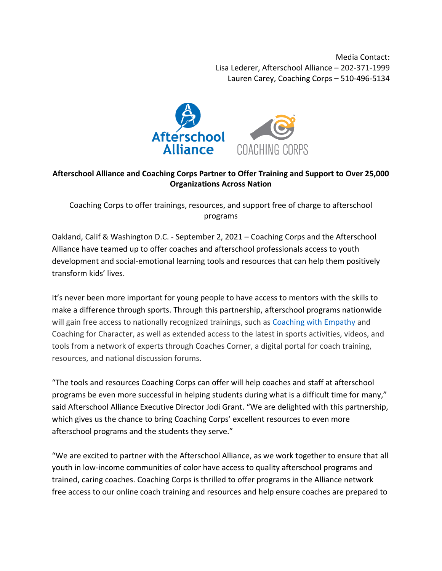Media Contact: Lisa Lederer, Afterschool Alliance – 202-371-1999 Lauren Carey, Coaching Corps – 510-496-5134



## **Afterschool Alliance and Coaching Corps Partner to Offer Training and Support to Over 25,000 Organizations Across Nation**

Coaching Corps to offer trainings, resources, and support free of charge to afterschool programs

Oakland, Calif & Washington D.C. - September 2, 2021 – Coaching Corps and the Afterschool Alliance have teamed up to offer coaches and afterschool professionals access to youth development and social-emotional learning tools and resources that can help them positively transform kids' lives.

It's never been more important for young people to have access to mentors with the skills to make a difference through sports. Through this partnership, afterschool programs nationwide will gain free access to nationally recognized trainings, such as [Coaching with Empathy](http://www.coachingcorps.org/empathy) and Coaching for Character, as well as extended access to the latest in sports activities, videos, and tools from a network of experts through Coaches Corner, a digital portal for coach training, resources, and national discussion forums.

"The tools and resources Coaching Corps can offer will help coaches and staff at afterschool programs be even more successful in helping students during what is a difficult time for many," said Afterschool Alliance Executive Director Jodi Grant. "We are delighted with this partnership, which gives us the chance to bring Coaching Corps' excellent resources to even more afterschool programs and the students they serve."

"We are excited to partner with the Afterschool Alliance, as we work together to ensure that all youth in low-income communities of color have access to quality afterschool programs and trained, caring coaches. Coaching Corps is thrilled to offer programs in the Alliance network free access to our online coach training and resources and help ensure coaches are prepared to